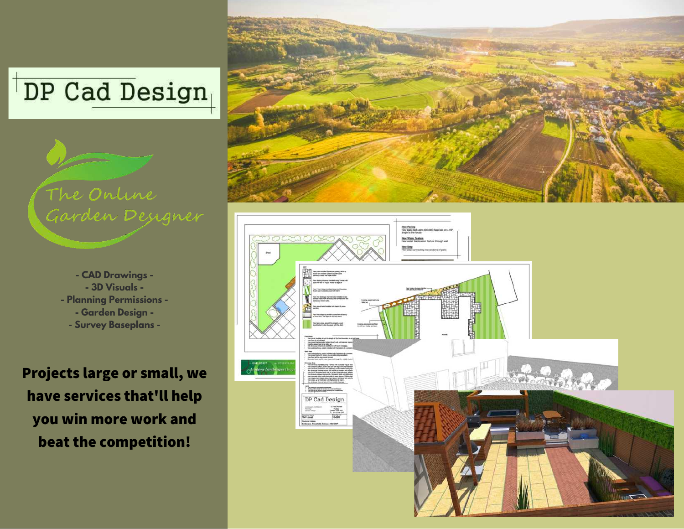



**- CAD Drawings - - 3D Visuals - - Planning Permissions - - Garden Design - - Survey Baseplans -**

**Projects large or small, we have services that'll help you win more work and beat the competition!**



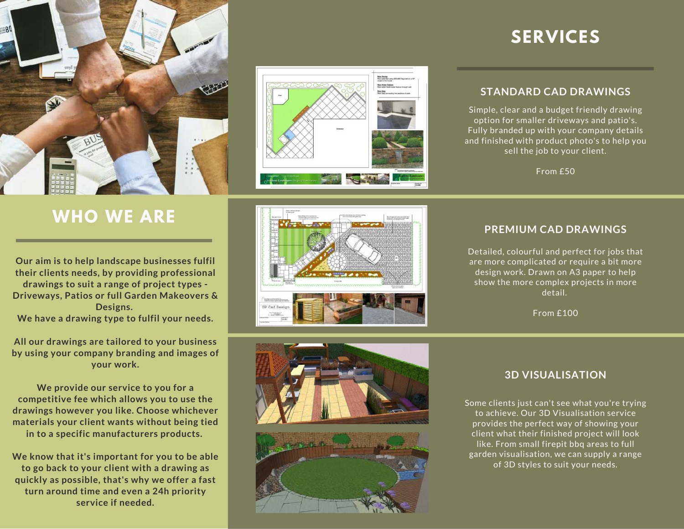

### **WHO WE ARE**

**Our aim is to help landscape businesses fulfil their clients needs, by providing professional drawings to suit a range of project types - Driveways, Patios or full Garden Makeovers & Designs. We have a drawing type to fulfil your needs.**

**All our drawings are tailored to your business by using your company branding and images of your work.**

**We provide our service to you for a competitive fee which allows you to use the drawings however you like. Choose whichever materials your client wants without being tied in to a specific manufacturers products.**

**We know that it's important for you to be able to go back to your client with a drawing as quickly as possible, that's why we offer a fast turn around time and even a 24h priority service if needed.**



## **SERVICES**

### **STANDARD CAD DRAWINGS**

Simple, clear and a budget friendly drawing option for smaller driveways and patio's. Fully branded up with your company details and finished with product photo's to help you sell the job to your client.

From £50

### **PREMIUM CAD DRAWINGS**

Detailed, colourful and perfect for jobs that are more complicated or require a bit more design work. Drawn on A3 paper to help show the more complex projects in more detail.

From £100





### **3D VISUALISATION**

Some clients just can't see what you're trying to achieve. Our 3D Visualisation service provides the perfect way of showing your client what their finished project will look like. From small firepit bbq areas to full garden visualisation, we can supply a range of 3D styles to suit your needs.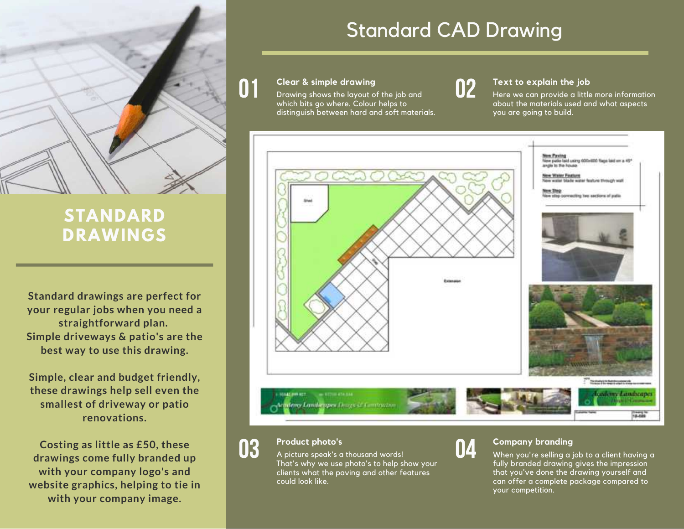

### **STANDARD DRAWINGS**

**Standard drawings are perfect for your regular jobs when you need a straightforward plan. Simple driveways & patio's are the best way to use this drawing.**

**Simple, clear and budget friendly, these drawings help sell even the smallest of driveway or patio renovations.**

**Costing as little as £50, these drawings come fully branded up with your company logo's and website graphics, helping to tie in with your company image.**

## Standard CAD Drawing

#### 01 **Clear & simple drawing**

Drawing shows the layout of the job and which bits go where. Colour helps to distinguish between hard and soft materials.



### **Text to explain the job**

Here we can provide a little more information about the materials used and what aspects you are going to build.



#### 03 **Product photo's**

A picture speak's a thousand words! That's why we use photo's to help show your clients what the paving and other features could look like.



### **Company branding**

When you're selling a job to a client having a fully branded drawing gives the impression that you've done the drawing yourself and can offer a complete package compared to your competition.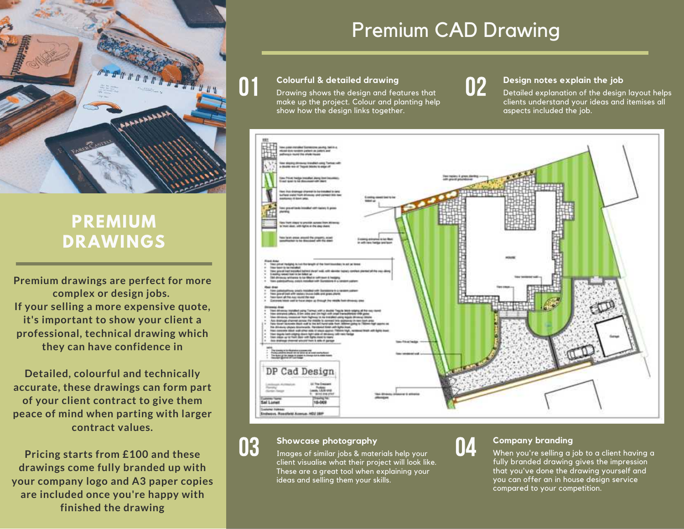

### **PREMIUM DRAWINGS**

**Premium drawings are perfect for more complex or design jobs. If your selling a more expensive quote, it's important to show your client a professional, technical drawing which they can have confidence in**

**Detailed, colourful and technically accurate, these drawings can form part of your client contract to give them peace of mind when parting with larger contract values.**

**Pricing starts from £100 and these drawings come fully branded up with your company logo and A3 paper copies are included once you're happy with finished the drawing**

## Premium CAD Drawing

#### **Colourful & detailed drawing**

Drawing shows the design and features that make up the project. Colour and planting help show how the design links together.

## 02

#### **Design notes explain the job**

Detailed explanation of the design layout helps clients understand your ideas and itemises all aspects included the job.



### **Showcase photography**

03

Images of similar jobs & materials help your client visualise what their project will look like. These are a great tool when explaining your ideas and selling them your skills.



### **Company branding**

When you're selling a job to a client having a fully branded drawing gives the impression that you've done the drawing yourself and you can offer an in house design service compared to your competition.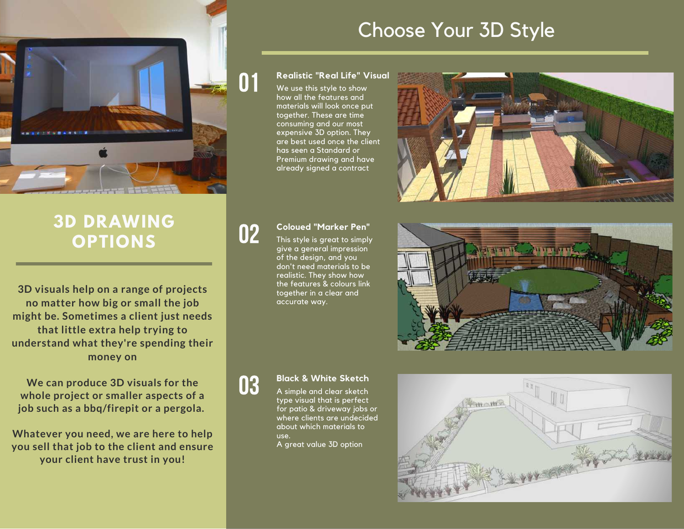

## Choose Your 3D Style

### **Realistic "Real Life" Visual**

We use this style to show how all the features and materials will look once put together. These are time consuming and our most expensive 3D option. They are best used once the client has seen a Standard or Premium drawing and have already signed a contract



### **3D DRAWING OPTIONS**

**3D visuals help on a range of projects no matter how big or small the job might be. Sometimes a client just needs that little extra help trying to understand what they're spending their money on**

**We can produce 3D visuals for the whole project or smaller aspects of a job such as a bbq/firepit or a pergola.**

**Whatever you need, we are here to help you sell that job to the client and ensure your client have trust in you!**

# 02

03

01

### **Coloued "Marker Pen"**

This style is great to simply give a general impression of the design, and you don't need materials to be realistic. They show how the features & colours link together in a clear and accurate way.



### **Black & White Sketch**

A simple and clear sketch type visual that is perfect for patio & driveway jobs or where clients are undecided about which materials to use.

A great value 3D option

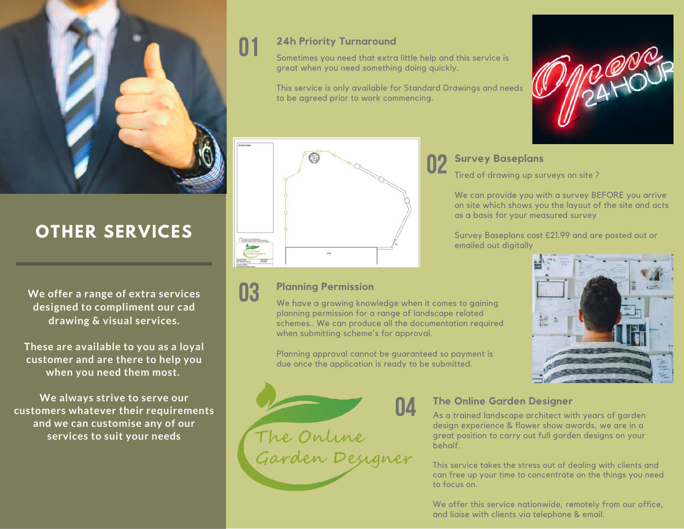

## **OTHER SERVICES**

**We offer a range of extra services designed to compliment our cad drawing & visual services.**

**These are available to you as a loyal customer and are there to help you when you need them most.**

**We always strive to serve our customers whatever their requirements and we can customise any of our services to suit your needs**

### **24h Priority Turnaround**

01

Sometimes you need that extra little help and this service is great when you need something doing quickly.

This service is only available for Standard Drawings and needs to be agreed prior to work commencing.



### 03 **Planning Permission**

We have a growing knowledge when it comes to gaining planning permission for a range of landscape related schemes.. We can produce all the documentation required when submitting scheme's for approval.

Planning approval cannot be guaranteed so payment is due once the application is ready to be submitted.



### 02 s **Survey Baseplans**

Tired of drawing up surveys on site ?

We can provide you with a survey BEFORE you arrive on site which shows you the layout of the site and acts as a basis for your measured survey

Survey Baseplans cost £21.99 and are posted out or emailed out digitally





### **The Online Garden Designer**

As a trained landscape architect with years of garden design experience & flower show awards, we are in a great position to carry out full garden designs on your behalf.

This service takes the stress out of dealing with clients and can free up your time to concentrate on the things you need to focus on.

We offer this service nationwide, remotely from our office, and liaise with clients via telephone & email.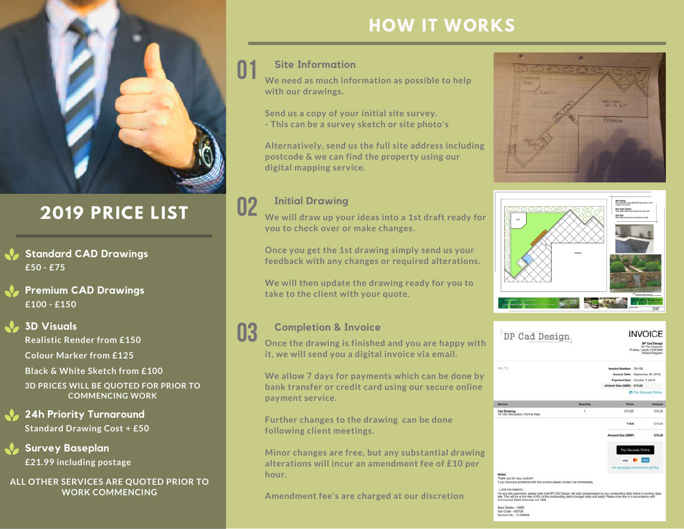

## **2019 PRICE LIST**

- **£50 - £75 Standard CAD Drawings**
- **£100 - £150 Premium CAD Drawings**

### **3D Visuals**

**Realistic Render from £150 Colour Marker from £125 Black & White Sketch from £100 3D PRICES WILL BE QUOTED FOR PRIOR TO COMMENCING WORK**

- **Standard Drawing Cost + £50 24h Priority Turnaround**
- **£21.99 including postage Survey Baseplan**

### **ALL OTHER SERVICES ARE QUOTED PRIOR TO WORK COMMENCING**

### **HOW IT WORKS**

### **Site Information**

**We need as much information as possible to help with our drawings.** 01

> **Send us a copy of your initial site survey. - This can be a survey sketch or site photo's**

**Alternatively, send us the full site address including postcode & we can find the property using our digital mapping service.**

### 02 **Initial Drawing**

**We will draw up your ideas into a 1st draft ready for you to check over or make changes.**

**Once you get the 1st drawing simply send us your feedback with any changes or required alterations.**

**We will then update the drawing ready for you to take to the client with your quote.**

### 03 **Completion & Invoice**

**Once the drawing is finished and you are happy with it, we will send you a digital invoice via email.**

**We allow 7 days for payments which can be done by bank transfer or credit card using our secure online payment service.**

**Further changes to the drawing can be done following client meetings.**

**Minor changes are free, but any substantial drawing alterations will incur an amendment fee of £10 per hour.**

**Amendment fee's are charged at our discretion**





| DP Cad Design                                                                                                                                                                                                                                                                                                              | <b>INVOICE</b><br>DP Cad Design<br>22 The Crescent<br>Pudsey, Leeds LS28 9AB<br>United Kingdom |                          |                                                               |
|----------------------------------------------------------------------------------------------------------------------------------------------------------------------------------------------------------------------------------------------------------------------------------------------------------------------------|------------------------------------------------------------------------------------------------|--------------------------|---------------------------------------------------------------|
| BBL TO                                                                                                                                                                                                                                                                                                                     |                                                                                                | Invoice Number: 19-108   |                                                               |
|                                                                                                                                                                                                                                                                                                                            |                                                                                                |                          | Invoice Date: September 30, 2019                              |
|                                                                                                                                                                                                                                                                                                                            |                                                                                                |                          | Payment Due: October 7, 2019                                  |
|                                                                                                                                                                                                                                                                                                                            |                                                                                                | Amount Due (GBP): £75.00 |                                                               |
|                                                                                                                                                                                                                                                                                                                            |                                                                                                |                          | E Pay Securely Online                                         |
| <b>Service</b>                                                                                                                                                                                                                                                                                                             | Quantity                                                                                       | <b>Price</b>             | Amount                                                        |
| <b>Cad Drawing</b><br>19-108, McCluskie, Front & Rear                                                                                                                                                                                                                                                                      | ١                                                                                              | <b>E75.00</b>            | £75.00                                                        |
|                                                                                                                                                                                                                                                                                                                            |                                                                                                | Total:                   | £75.00                                                        |
|                                                                                                                                                                                                                                                                                                                            |                                                                                                | Amount Due (GBP):        | £75.00                                                        |
|                                                                                                                                                                                                                                                                                                                            |                                                                                                | WESA.                    | Pay Securely Online<br>first wavenups competiting still like. |
|                                                                                                                                                                                                                                                                                                                            |                                                                                                |                          |                                                               |
| Notes<br>Thank you for your custom!                                                                                                                                                                                                                                                                                        |                                                                                                |                          |                                                               |
| If you have any problems with this invoice please contact me immediately.                                                                                                                                                                                                                                                  |                                                                                                |                          |                                                               |
| - LATE PAYMENTS -<br>For any late payments, please note that DP CAO Design will add compensation to any outstanding debt that is 5 working days<br>late. This will be at the rate of 8% of the outstanding debt (charged daily until paid). Please note this is in accordance with<br>Commercial Debts (Interest) Act 1998 |                                                                                                |                          |                                                               |
| Bank Details - HSBC<br>Sort Code - 403728<br>Account No. - 21548838                                                                                                                                                                                                                                                        |                                                                                                |                          |                                                               |